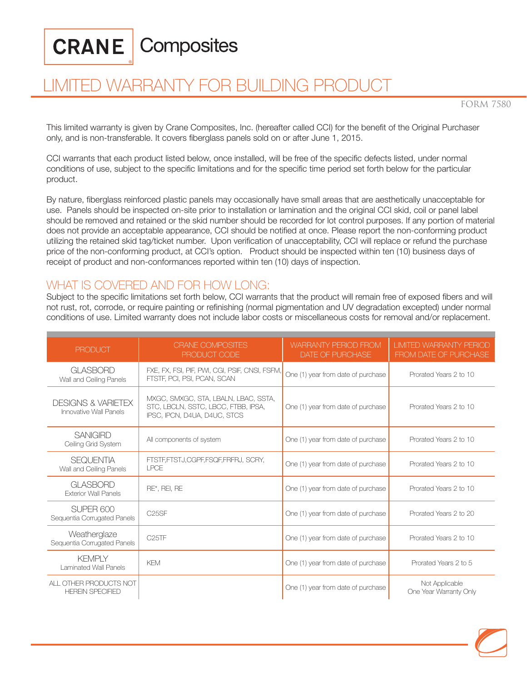## **CRANE** Composites

# LIMITED WARRANTY FOR BUILDING PRODUCT

FORM 7580

This limited warranty is given by Crane Composites, Inc. (hereafter called CCI) for the benefit of the Original Purchaser only, and is non-transferable. It covers fiberglass panels sold on or after June 1, 2015.

CCI warrants that each product listed below, once installed, will be free of the specific defects listed, under normal conditions of use, subject to the specific limitations and for the specific time period set forth below for the particular product.

By nature, fiberglass reinforced plastic panels may occasionally have small areas that are aesthetically unacceptable for use. Panels should be inspected on-site prior to installation or lamination and the original CCI skid, coil or panel label should be removed and retained or the skid number should be recorded for lot control purposes. If any portion of material does not provide an acceptable appearance, CCI should be notified at once. Please report the non-conforming product utilizing the retained skid tag/ticket number. Upon verification of unacceptability, CCI will replace or refund the purchase price of the non-conforming product, at CCI's option. Product should be inspected within ten (10) business days of receipt of product and non-conformances reported within ten (10) days of inspection.

# WHAT IS COVERED AND FOR HOW LONG:

Subject to the specific limitations set forth below, CCI warrants that the product will remain free of exposed fibers and will not rust, rot, corrode, or require painting or refinishing (normal pigmentation and UV degradation excepted) under normal conditions of use. Limited warranty does not include labor costs or miscellaneous costs for removal and/or replacement.

| <b>PRODUCT</b>                                          | CRANE COMPOSITES<br>PRODUCT CODE                                                                            | <b>WARRANTY PERIOD FROM</b><br>DATE OF PURCHASE | <b>LIMITED WARRANTY PERIOD</b><br>FROM DATE OF PURCHASE |
|---------------------------------------------------------|-------------------------------------------------------------------------------------------------------------|-------------------------------------------------|---------------------------------------------------------|
| <b>GLASBORD</b><br>Wall and Ceiling Panels              | FXE, FX, FSI, PIF, PWI, CGI, PSIF, CNSI, FSFM,<br>FTSTF, PCI, PSI, PCAN, SCAN                               | One (1) year from date of purchase              | Prorated Years 2 to 10                                  |
| <b>DESIGNS &amp; VARIETEX</b><br>Innovative Wall Panels | MXGC, SMXGC, STA, LBALN, LBAC, SSTA,<br>STC, LBCLN, SSTC, LBCC, FTBB, IPSA,<br>IPSC, IPCN, D4UA, D4UC, STCS | One (1) year from date of purchase              | Prorated Years 2 to 10                                  |
| <b>SANIGIRD</b><br>Ceiling Grid System                  | All components of system                                                                                    | One (1) year from date of purchase              | Prorated Years 2 to 10                                  |
| <b>SEQUENTIA</b><br>Wall and Ceiling Panels             | FTSTF,FTSTJ,CGPF,FSQF,FRFRJ, SCRY,<br><b>I PCF</b>                                                          | One (1) year from date of purchase              | Prorated Years 2 to 10                                  |
| <b>GLASBORD</b><br><b>Exterior Wall Panels</b>          | RE*, REI, RE                                                                                                | One (1) year from date of purchase              | Prorated Years 2 to 10                                  |
| <b>SUPER 600</b><br>Sequentia Corrugated Panels         | C <sub>25</sub> SF                                                                                          | One (1) year from date of purchase              | Prorated Years 2 to 20                                  |
| Weatherglaze<br>Sequentia Corrugated Panels             | C <sub>25</sub> TF                                                                                          | One (1) year from date of purchase              | Prorated Years 2 to 10                                  |
| <b>KEMPLY</b><br>Laminated Wall Panels                  | <b>KFM</b>                                                                                                  | One (1) year from date of purchase              | Prorated Years 2 to 5                                   |
| ALL OTHER PRODUCTS NOT<br><b>HEREIN SPECIFIED</b>       |                                                                                                             | One (1) year from date of purchase              | Not Applicable<br>One Year Warranty Only                |